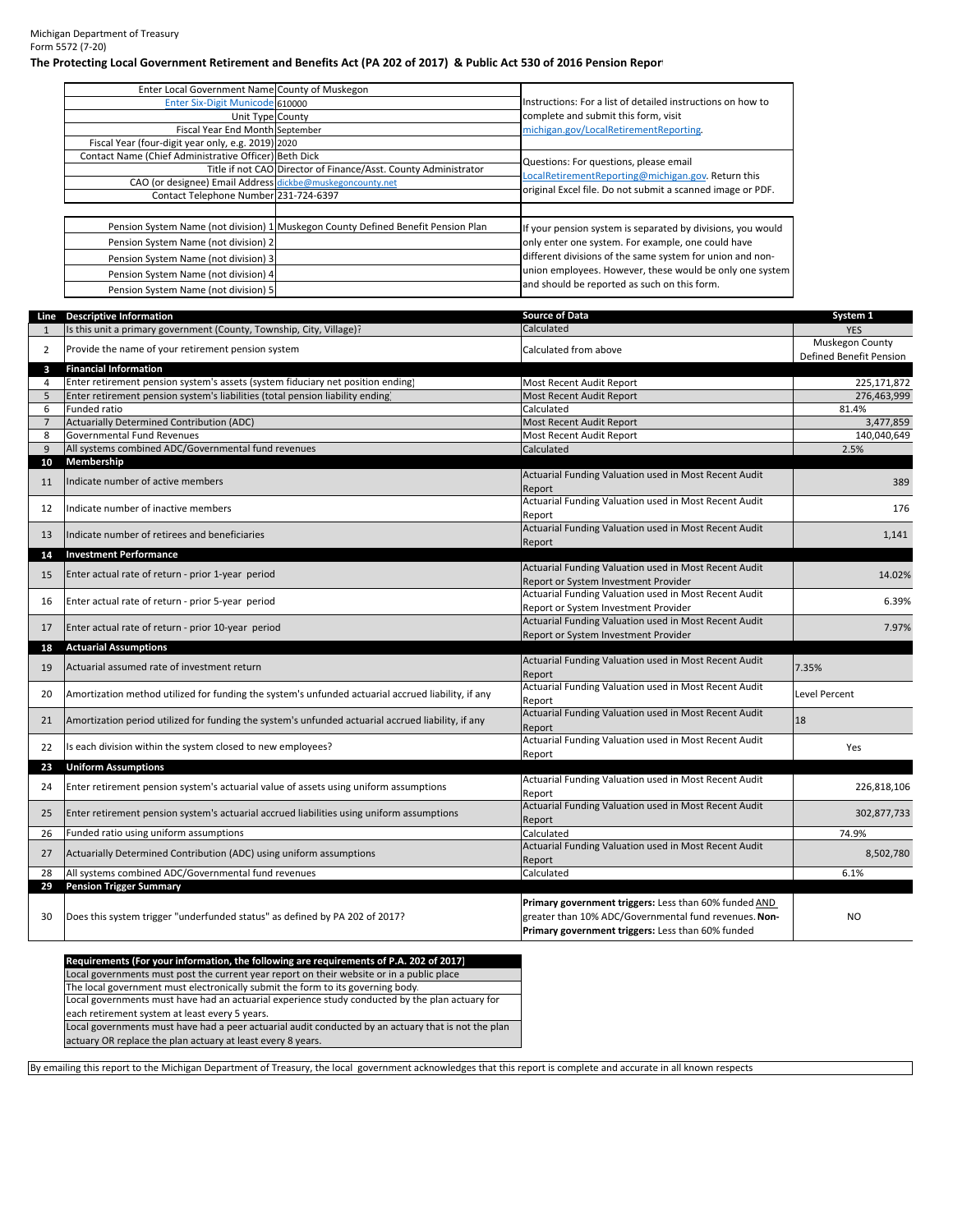Michigan Department of Treasury Form 5572 (7‐20)

## The Protecting Local Government Retirement and Benefits Act (PA 202 of 2017) & Public Act 530 of 2016 Pension Repor

| Enter Local Government Name County of Muskegon            |                                                                                   |                                                             |  |  |
|-----------------------------------------------------------|-----------------------------------------------------------------------------------|-------------------------------------------------------------|--|--|
| Enter Six-Digit Municode 610000                           |                                                                                   | Instructions: For a list of detailed instructions on how to |  |  |
| Unit Type County                                          |                                                                                   | complete and submit this form, visit                        |  |  |
| Fiscal Year End Month September                           |                                                                                   | michigan.gov/LocalRetirementReporting.                      |  |  |
| Fiscal Year (four-digit year only, e.g. 2019) 2020        |                                                                                   |                                                             |  |  |
| Contact Name (Chief Administrative Officer) Beth Dick     |                                                                                   | Questions: For questions, please email                      |  |  |
|                                                           | Title if not CAO Director of Finance/Asst. County Administrator                   | LocalRetirementReporting@michigan.gov. Return this          |  |  |
| CAO (or designee) Email Address dickbe@muskegoncounty.net |                                                                                   |                                                             |  |  |
| Contact Telephone Number 231-724-6397                     |                                                                                   | original Excel file. Do not submit a scanned image or PDF.  |  |  |
|                                                           | Pension System Name (not division) 1 Muskegon County Defined Benefit Pension Plan | If your pension system is separated by divisions, you would |  |  |
| Pension System Name (not division) 2                      |                                                                                   | only enter one system. For example, one could have          |  |  |
| Pension System Name (not division) 3                      |                                                                                   | different divisions of the same system for union and non-   |  |  |
| Pension System Name (not division) 4                      |                                                                                   | union employees. However, these would be only one system    |  |  |
| Pension System Name (not division) 5                      | and should be reported as such on this form.                                      |                                                             |  |  |

|                | Line Descriptive Information                                                                       | <b>Source of Data</b>                                           | System 1                                   |
|----------------|----------------------------------------------------------------------------------------------------|-----------------------------------------------------------------|--------------------------------------------|
| $\mathbf{1}$   | Is this unit a primary government (County, Township, City, Village)?                               | Calculated                                                      | <b>YES</b>                                 |
| 2              | Provide the name of your retirement pension system                                                 | Calculated from above                                           | Muskegon County<br>Defined Benefit Pension |
| 3              | <b>Financial Information</b>                                                                       |                                                                 |                                            |
| 4              | Enter retirement pension system's assets (system fiduciary net position ending)                    | Most Recent Audit Report                                        | 225,171,872                                |
| 5              | Enter retirement pension system's liabilities (total pension liability ending)                     | Most Recent Audit Report                                        | 276,463,999                                |
| 6              | Funded ratio                                                                                       | Calculated                                                      | 81.4%                                      |
| $\overline{7}$ | Actuarially Determined Contribution (ADC)                                                          | Most Recent Audit Report                                        | 3,477,859                                  |
| 8              | <b>Governmental Fund Revenues</b>                                                                  | Most Recent Audit Report                                        | 140,040,649                                |
| 9              | All systems combined ADC/Governmental fund revenues                                                | Calculated                                                      | 2.5%                                       |
| 10             | Membership                                                                                         |                                                                 |                                            |
| 11             | Indicate number of active members                                                                  | Actuarial Funding Valuation used in Most Recent Audit           | 389                                        |
|                |                                                                                                    | Report                                                          |                                            |
| 12             | Indicate number of inactive members                                                                | Actuarial Funding Valuation used in Most Recent Audit           | 176                                        |
|                |                                                                                                    | Report<br>Actuarial Funding Valuation used in Most Recent Audit |                                            |
| 13             | Indicate number of retirees and beneficiaries                                                      | Report                                                          | 1,141                                      |
| 14             | <b>Investment Performance</b>                                                                      |                                                                 |                                            |
|                |                                                                                                    | Actuarial Funding Valuation used in Most Recent Audit           |                                            |
| 15             | Enter actual rate of return - prior 1-year period                                                  | Report or System Investment Provider                            | 14.02%                                     |
|                |                                                                                                    | Actuarial Funding Valuation used in Most Recent Audit           |                                            |
| 16             | Enter actual rate of return - prior 5-year period                                                  | Report or System Investment Provider                            | 6.39%                                      |
|                |                                                                                                    | Actuarial Funding Valuation used in Most Recent Audit           |                                            |
| 17             | Enter actual rate of return - prior 10-year period                                                 | Report or System Investment Provider                            | 7.97%                                      |
| 18             | <b>Actuarial Assumptions</b>                                                                       |                                                                 |                                            |
| 19             | Actuarial assumed rate of investment return                                                        | Actuarial Funding Valuation used in Most Recent Audit           | 7.35%                                      |
|                |                                                                                                    | Report                                                          |                                            |
| 20             | Amortization method utilized for funding the system's unfunded actuarial accrued liability, if any | Actuarial Funding Valuation used in Most Recent Audit           | <b>Level Percent</b>                       |
|                |                                                                                                    | Report                                                          |                                            |
| 21             | Amortization period utilized for funding the system's unfunded actuarial accrued liability, if any | Actuarial Funding Valuation used in Most Recent Audit           | 18                                         |
|                |                                                                                                    | Report                                                          |                                            |
| 22             | Is each division within the system closed to new employees?                                        | Actuarial Funding Valuation used in Most Recent Audit           | Yes                                        |
|                |                                                                                                    | Report                                                          |                                            |
| 23             | <b>Uniform Assumptions</b>                                                                         | Actuarial Funding Valuation used in Most Recent Audit           |                                            |
| 24             | Enter retirement pension system's actuarial value of assets using uniform assumptions              |                                                                 | 226,818,106                                |
|                |                                                                                                    | Report<br>Actuarial Funding Valuation used in Most Recent Audit |                                            |
| 25             | Enter retirement pension system's actuarial accrued liabilities using uniform assumptions          | Report                                                          | 302,877,733                                |
| 26             | Funded ratio using uniform assumptions                                                             | Calculated                                                      | 74.9%                                      |
|                |                                                                                                    | Actuarial Funding Valuation used in Most Recent Audit           |                                            |
| 27             | Actuarially Determined Contribution (ADC) using uniform assumptions                                | Report                                                          | 8,502,780                                  |
| 28             | All systems combined ADC/Governmental fund revenues                                                | Calculated                                                      | 6.1%                                       |
| 29             | <b>Pension Trigger Summary</b>                                                                     |                                                                 |                                            |
|                |                                                                                                    | Primary government triggers: Less than 60% funded AND           |                                            |
| 30             | Does this system trigger "underfunded status" as defined by PA 202 of 2017?                        | greater than 10% ADC/Governmental fund revenues. Non-           | <b>NO</b>                                  |
|                |                                                                                                    | Primary government triggers: Less than 60% funded               |                                            |
|                |                                                                                                    |                                                                 |                                            |
|                | Requirements (For your information, the following are requirements of P.A. 202 of 2017)            |                                                                 |                                            |

Local governments must post the current year report on their website or in a public place Local governments must have had an actuarial experience study conducted by the plan actuary for each retirement system at least every 5 years. The local government must electronically submit the form to its governing body. Local governments must have had a peer actuarial audit conducted by an actuary that is not the plan actuary OR replace the plan actuary at least every 8 years.

By emailing this report to the Michigan Department of Treasury, the local government acknowledges that this report is complete and accurate in all known respects